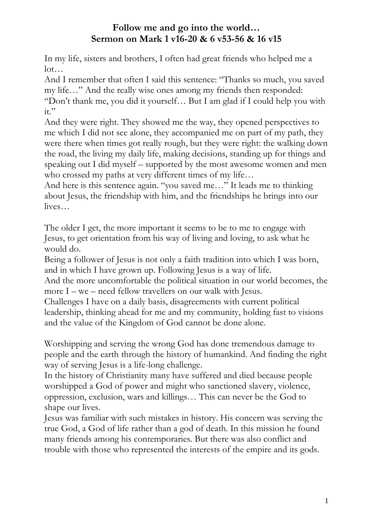In my life, sisters and brothers, I often had great friends who helped me a lot…

And I remember that often I said this sentence: "Thanks so much, you saved my life…" And the really wise ones among my friends then responded: "Don't thank me, you did it yourself… But I am glad if I could help you with it."

And they were right. They showed me the way, they opened perspectives to me which I did not see alone, they accompanied me on part of my path, they were there when times got really rough, but they were right: the walking down the road, the living my daily life, making decisions, standing up for things and speaking out I did myself – supported by the most awesome women and men who crossed my paths at very different times of my life...

And here is this sentence again. "you saved me…" It leads me to thinking about Jesus, the friendship with him, and the friendships he brings into our lives…

The older I get, the more important it seems to be to me to engage with Jesus, to get orientation from his way of living and loving, to ask what he would do.

Being a follower of Jesus is not only a faith tradition into which I was born, and in which I have grown up. Following Jesus is a way of life.

And the more uncomfortable the political situation in our world becomes, the more  $I - we - need fellow travels on our walk with Jesus.$ 

Challenges I have on a daily basis, disagreements with current political leadership, thinking ahead for me and my community, holding fast to visions and the value of the Kingdom of God cannot be done alone.

Worshipping and serving the wrong God has done tremendous damage to people and the earth through the history of humankind. And finding the right way of serving Jesus is a life-long challenge.

In the history of Christianity many have suffered and died because people worshipped a God of power and might who sanctioned slavery, violence, oppression, exclusion, wars and killings… This can never be the God to shape our lives.

Jesus was familiar with such mistakes in history. His concern was serving the true God, a God of life rather than a god of death. In this mission he found many friends among his contemporaries. But there was also conflict and trouble with those who represented the interests of the empire and its gods.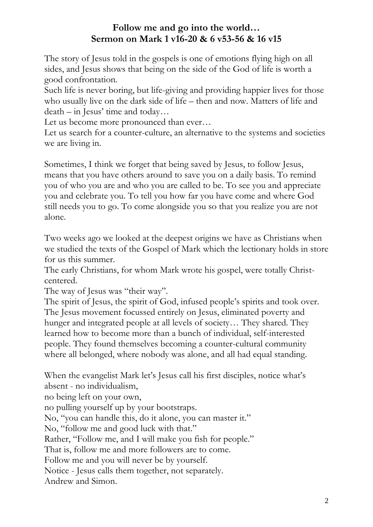The story of Jesus told in the gospels is one of emotions flying high on all sides, and Jesus shows that being on the side of the God of life is worth a good confrontation.

Such life is never boring, but life-giving and providing happier lives for those who usually live on the dark side of life – then and now. Matters of life and death – in Jesus' time and today…

Let us become more pronounced than ever…

Let us search for a counter-culture, an alternative to the systems and societies we are living in.

Sometimes, I think we forget that being saved by Jesus, to follow Jesus, means that you have others around to save you on a daily basis. To remind you of who you are and who you are called to be. To see you and appreciate you and celebrate you. To tell you how far you have come and where God still needs you to go. To come alongside you so that you realize you are not alone.

Two weeks ago we looked at the deepest origins we have as Christians when we studied the texts of the Gospel of Mark which the lectionary holds in store for us this summer.

The early Christians, for whom Mark wrote his gospel, were totally Christcentered.

The way of Jesus was "their way".

The spirit of Jesus, the spirit of God, infused people's spirits and took over. The Jesus movement focussed entirely on Jesus, eliminated poverty and hunger and integrated people at all levels of society… They shared. They learned how to become more than a bunch of individual, self-interested people. They found themselves becoming a counter-cultural community where all belonged, where nobody was alone, and all had equal standing.

When the evangelist Mark let's Jesus call his first disciples, notice what's absent - no individualism,

no being left on your own,

no pulling yourself up by your bootstraps.

No, "you can handle this, do it alone, you can master it."

No, "follow me and good luck with that."

Rather, "Follow me, and I will make you fish for people."

That is, follow me and more followers are to come.

Follow me and you will never be by yourself.

Notice - Jesus calls them together, not separately.

Andrew and Simon.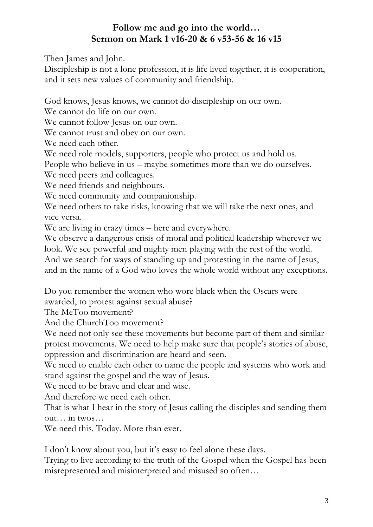Then James and John.

Discipleship is not a lone profession, it is life lived together, it is cooperation, and it sets new values of community and friendship.

God knows, Jesus knows, we cannot do discipleship on our own.

We cannot do life on our own.

We cannot follow Jesus on our own.

We cannot trust and obey on our own.

We need each other.

We need role models, supporters, people who protect us and hold us.

People who believe in us – maybe sometimes more than we do ourselves.

We need peers and colleagues.

We need friends and neighbours.

We need community and companionship.

We need others to take risks, knowing that we will take the next ones, and vice versa.

We are living in crazy times – here and everywhere.

We observe a dangerous crisis of moral and political leadership wherever we look. We see powerful and mighty men playing with the rest of the world. And we search for ways of standing up and protesting in the name of Jesus, and in the name of a God who loves the whole world without any exceptions.

Do you remember the women who wore black when the Oscars were

awarded, to protest against sexual abuse?

The MeToo movement?

And the ChurchToo movement?

We need not only see these movements but become part of them and similar protest movements. We need to help make sure that people's stories of abuse, oppression and discrimination are heard and seen.

We need to enable each other to name the people and systems who work and stand against the gospel and the way of Jesus.

We need to be brave and clear and wise.

And therefore we need each other.

That is what I hear in the story of Jesus calling the disciples and sending them out… in twos…

We need this. Today. More than ever.

I don't know about you, but it's easy to feel alone these days.

Trying to live according to the truth of the Gospel when the Gospel has been misrepresented and misinterpreted and misused so often…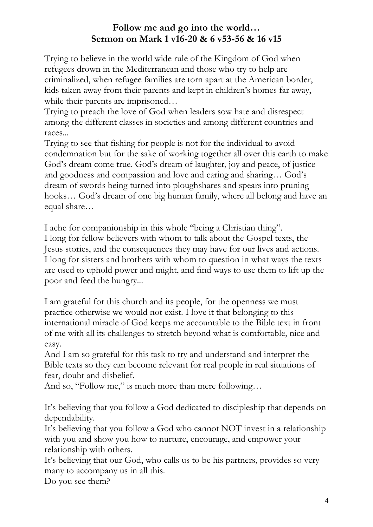Trying to believe in the world wide rule of the Kingdom of God when refugees drown in the Mediterranean and those who try to help are criminalized, when refugee families are torn apart at the American border, kids taken away from their parents and kept in children's homes far away, while their parents are imprisoned...

Trying to preach the love of God when leaders sow hate and disrespect among the different classes in societies and among different countries and races...

Trying to see that fishing for people is not for the individual to avoid condemnation but for the sake of working together all over this earth to make God's dream come true. God's dream of laughter, joy and peace, of justice and goodness and compassion and love and caring and sharing… God's dream of swords being turned into ploughshares and spears into pruning hooks… God's dream of one big human family, where all belong and have an equal share…

I ache for companionship in this whole "being a Christian thing".

I long for fellow believers with whom to talk about the Gospel texts, the Jesus stories, and the consequences they may have for our lives and actions. I long for sisters and brothers with whom to question in what ways the texts are used to uphold power and might, and find ways to use them to lift up the poor and feed the hungry...

I am grateful for this church and its people, for the openness we must practice otherwise we would not exist. I love it that belonging to this international miracle of God keeps me accountable to the Bible text in front of me with all its challenges to stretch beyond what is comfortable, nice and easy.

And I am so grateful for this task to try and understand and interpret the Bible texts so they can become relevant for real people in real situations of fear, doubt and disbelief.

And so, "Follow me," is much more than mere following...

It's believing that you follow a God dedicated to discipleship that depends on dependability.

It's believing that you follow a God who cannot NOT invest in a relationship with you and show you how to nurture, encourage, and empower your relationship with others.

It's believing that our God, who calls us to be his partners, provides so very many to accompany us in all this.

Do you see them?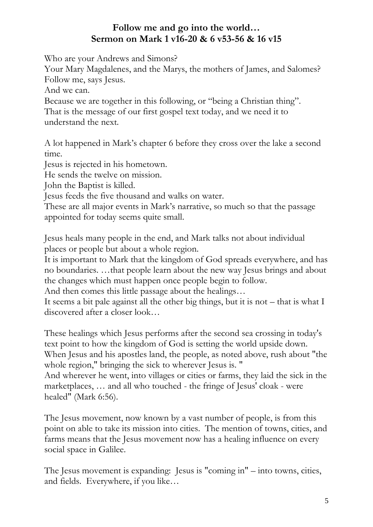Who are your Andrews and Simons?

Your Mary Magdalenes, and the Marys, the mothers of James, and Salomes? Follow me, says Jesus.

And we can.

Because we are together in this following, or "being a Christian thing". That is the message of our first gospel text today, and we need it to understand the next.

A lot happened in Mark's chapter 6 before they cross over the lake a second time.

Jesus is rejected in his hometown.

He sends the twelve on mission.

John the Baptist is killed.

Jesus feeds the five thousand and walks on water.

These are all major events in Mark's narrative, so much so that the passage appointed for today seems quite small.

Jesus heals many people in the end, and Mark talks not about individual places or people but about a whole region.

It is important to Mark that the kingdom of God spreads everywhere, and has no boundaries. …that people learn about the new way Jesus brings and about the changes which must happen once people begin to follow.

And then comes this little passage about the healings…

It seems a bit pale against all the other big things, but it is not – that is what I discovered after a closer look…

These healings which Jesus performs after the second sea crossing in today's text point to how the kingdom of God is setting the world upside down. When Jesus and his apostles land, the people, as noted above, rush about "the whole region," bringing the sick to wherever Jesus is. "

And wherever he went, into villages or cities or farms, they laid the sick in the marketplaces, … and all who touched - the fringe of Jesus' cloak - were healed" (Mark 6:56).

The Jesus movement, now known by a vast number of people, is from this point on able to take its mission into cities. The mention of towns, cities, and farms means that the Jesus movement now has a healing influence on every social space in Galilee.

The Jesus movement is expanding: Jesus is "coming in" – into towns, cities, and fields. Everywhere, if you like…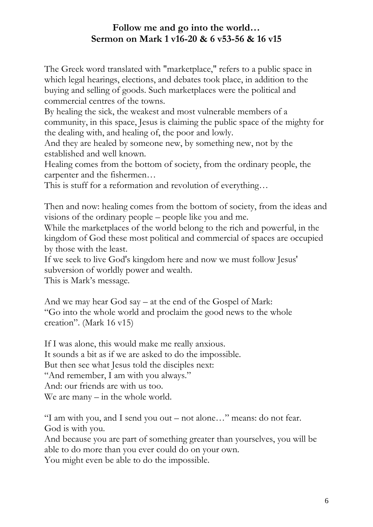The Greek word translated with "marketplace," refers to a public space in which legal hearings, elections, and debates took place, in addition to the buying and selling of goods. Such marketplaces were the political and commercial centres of the towns.

By healing the sick, the weakest and most vulnerable members of a community, in this space, Jesus is claiming the public space of the mighty for the dealing with, and healing of, the poor and lowly.

And they are healed by someone new, by something new, not by the established and well known.

Healing comes from the bottom of society, from the ordinary people, the carpenter and the fishermen…

This is stuff for a reformation and revolution of everything…

Then and now: healing comes from the bottom of society, from the ideas and visions of the ordinary people – people like you and me.

While the marketplaces of the world belong to the rich and powerful, in the kingdom of God these most political and commercial of spaces are occupied by those with the least.

If we seek to live God's kingdom here and now we must follow Jesus' subversion of worldly power and wealth.

This is Mark's message.

And we may hear God say – at the end of the Gospel of Mark: "Go into the whole world and proclaim the good news to the whole creation". (Mark 16 v15)

If I was alone, this would make me really anxious. It sounds a bit as if we are asked to do the impossible. But then see what Jesus told the disciples next: "And remember, I am with you always." And: our friends are with us too. We are many – in the whole world.

"I am with you, and I send you out – not alone…" means: do not fear. God is with you.

And because you are part of something greater than yourselves, you will be able to do more than you ever could do on your own.

You might even be able to do the impossible.